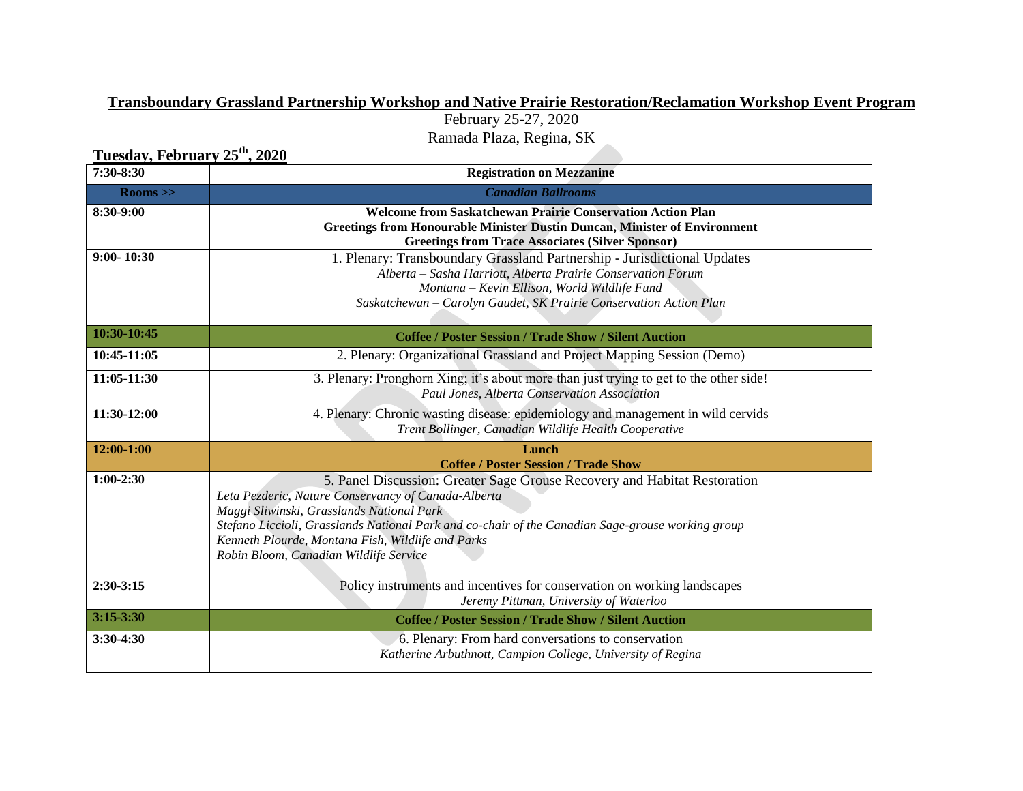## **Transboundary Grassland Partnership Workshop and Native Prairie Restoration/Reclamation Workshop Event Program**

February 25-27, 2020 Ramada Plaza, Regina, SK

**Tuesday, February 25th, 2020**

| 7:30-8:30      | <b>Registration on Mezzanine</b>                                                                                                                                                                                                                                                                                                                                                  |  |  |
|----------------|-----------------------------------------------------------------------------------------------------------------------------------------------------------------------------------------------------------------------------------------------------------------------------------------------------------------------------------------------------------------------------------|--|--|
| $\rm Rooms >$  | <b>Canadian Ballrooms</b>                                                                                                                                                                                                                                                                                                                                                         |  |  |
| 8:30-9:00      | <b>Welcome from Saskatchewan Prairie Conservation Action Plan</b><br>Greetings from Honourable Minister Dustin Duncan, Minister of Environment<br><b>Greetings from Trace Associates (Silver Sponsor)</b>                                                                                                                                                                         |  |  |
| $9:00 - 10:30$ | 1. Plenary: Transboundary Grassland Partnership - Jurisdictional Updates<br>Alberta – Sasha Harriott, Alberta Prairie Conservation Forum<br>Montana - Kevin Ellison, World Wildlife Fund<br>Saskatchewan - Carolyn Gaudet, SK Prairie Conservation Action Plan                                                                                                                    |  |  |
| 10:30-10:45    | <b>Coffee / Poster Session / Trade Show / Silent Auction</b>                                                                                                                                                                                                                                                                                                                      |  |  |
| 10:45-11:05    | 2. Plenary: Organizational Grassland and Project Mapping Session (Demo)                                                                                                                                                                                                                                                                                                           |  |  |
| 11:05-11:30    | 3. Plenary: Pronghorn Xing; it's about more than just trying to get to the other side!<br>Paul Jones, Alberta Conservation Association                                                                                                                                                                                                                                            |  |  |
| 11:30-12:00    | 4. Plenary: Chronic wasting disease: epidemiology and management in wild cervids<br>Trent Bollinger, Canadian Wildlife Health Cooperative                                                                                                                                                                                                                                         |  |  |
| $12:00-1:00$   | Lunch<br><b>Coffee / Poster Session / Trade Show</b>                                                                                                                                                                                                                                                                                                                              |  |  |
| $1:00-2:30$    | 5. Panel Discussion: Greater Sage Grouse Recovery and Habitat Restoration<br>Leta Pezderic, Nature Conservancy of Canada-Alberta<br>Maggi Sliwinski, Grasslands National Park<br>Stefano Liccioli, Grasslands National Park and co-chair of the Canadian Sage-grouse working group<br>Kenneth Plourde, Montana Fish, Wildlife and Parks<br>Robin Bloom, Canadian Wildlife Service |  |  |
| $2:30-3:15$    | Policy instruments and incentives for conservation on working landscapes<br>Jeremy Pittman, University of Waterloo                                                                                                                                                                                                                                                                |  |  |
| $3:15 - 3:30$  | <b>Coffee / Poster Session / Trade Show / Silent Auction</b>                                                                                                                                                                                                                                                                                                                      |  |  |
| 3:30-4:30      | 6. Plenary: From hard conversations to conservation<br>Katherine Arbuthnott, Campion College, University of Regina                                                                                                                                                                                                                                                                |  |  |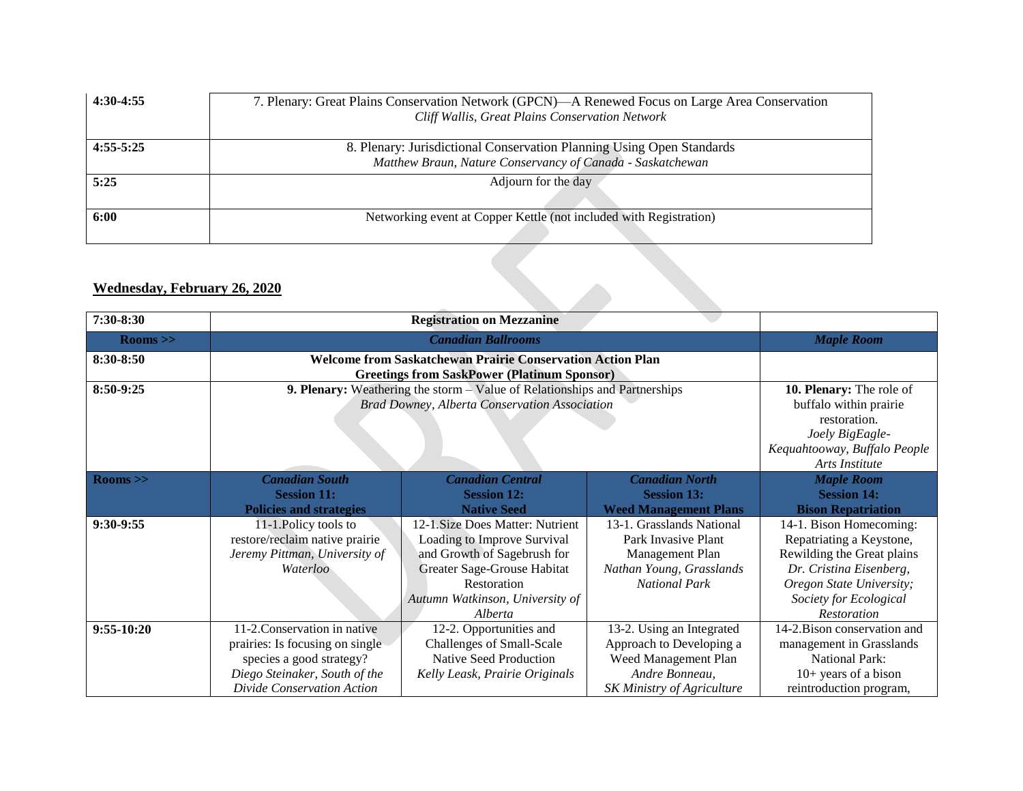| $4:30-4:55$ | 7. Plenary: Great Plains Conservation Network (GPCN)—A Renewed Focus on Large Area Conservation<br>Cliff Wallis, Great Plains Conservation Network |
|-------------|----------------------------------------------------------------------------------------------------------------------------------------------------|
| $4:55-5:25$ | 8. Plenary: Jurisdictional Conservation Planning Using Open Standards<br>Matthew Braun, Nature Conservancy of Canada - Saskatchewan                |
| 5:25        | Adjourn for the day                                                                                                                                |
| 6:00        | Networking event at Copper Kettle (not included with Registration)                                                                                 |

## **Wednesday, February 26, 2020**

| 7:30-8:30     |                                                                                                                                                                                   |                                                                                                                                                                                            |                                                                                                                               |                                                                                                                                                                                          |
|---------------|-----------------------------------------------------------------------------------------------------------------------------------------------------------------------------------|--------------------------------------------------------------------------------------------------------------------------------------------------------------------------------------------|-------------------------------------------------------------------------------------------------------------------------------|------------------------------------------------------------------------------------------------------------------------------------------------------------------------------------------|
| $\rm Rooms >$ |                                                                                                                                                                                   | <b>Maple Room</b>                                                                                                                                                                          |                                                                                                                               |                                                                                                                                                                                          |
| 8:30-8:50     | <b>Welcome from Saskatchewan Prairie Conservation Action Plan</b>                                                                                                                 |                                                                                                                                                                                            |                                                                                                                               |                                                                                                                                                                                          |
| 8:50-9:25     | <b>Greetings from SaskPower (Platinum Sponsor)</b><br>9. Plenary: Weathering the storm – Value of Relationships and Partnerships<br>Brad Downey, Alberta Conservation Association |                                                                                                                                                                                            |                                                                                                                               | 10. Plenary: The role of<br>buffalo within prairie<br>restoration.<br>Joely BigEagle-<br>Kequahtooway, Buffalo People<br>Arts Institute                                                  |
| $\rm Rooms >$ | <b>Canadian South</b><br><b>Session 11:</b><br><b>Policies and strategies</b>                                                                                                     | <b>Canadian Central</b><br><b>Session 12:</b><br><b>Native Seed</b>                                                                                                                        | <b>Canadian North</b><br><b>Session 13:</b><br><b>Weed Management Plans</b>                                                   | <b>Maple Room</b><br><b>Session 14:</b><br><b>Bison Repatriation</b>                                                                                                                     |
| 9:30-9:55     | 11-1. Policy tools to<br>restore/reclaim native prairie<br>Jeremy Pittman, University of<br>Waterloo                                                                              | 12-1. Size Does Matter: Nutrient<br>Loading to Improve Survival<br>and Growth of Sagebrush for<br>Greater Sage-Grouse Habitat<br>Restoration<br>Autumn Watkinson, University of<br>Alberta | 13-1. Grasslands National<br>Park Invasive Plant<br>Management Plan<br>Nathan Young, Grasslands<br><b>National Park</b>       | 14-1. Bison Homecoming:<br>Repatriating a Keystone,<br>Rewilding the Great plains<br>Dr. Cristina Eisenberg,<br>Oregon State University;<br>Society for Ecological<br><b>Restoration</b> |
| $9:55-10:20$  | 11-2. Conservation in native<br>prairies: Is focusing on single<br>species a good strategy?<br>Diego Steinaker, South of the<br>Divide Conservation Action                        | 12-2. Opportunities and<br>Challenges of Small-Scale<br>Native Seed Production<br>Kelly Leask, Prairie Originals                                                                           | 13-2. Using an Integrated<br>Approach to Developing a<br>Weed Management Plan<br>Andre Bonneau.<br>SK Ministry of Agriculture | 14-2. Bison conservation and<br>management in Grasslands<br><b>National Park:</b><br>$10+$ years of a bison<br>reintroduction program,                                                   |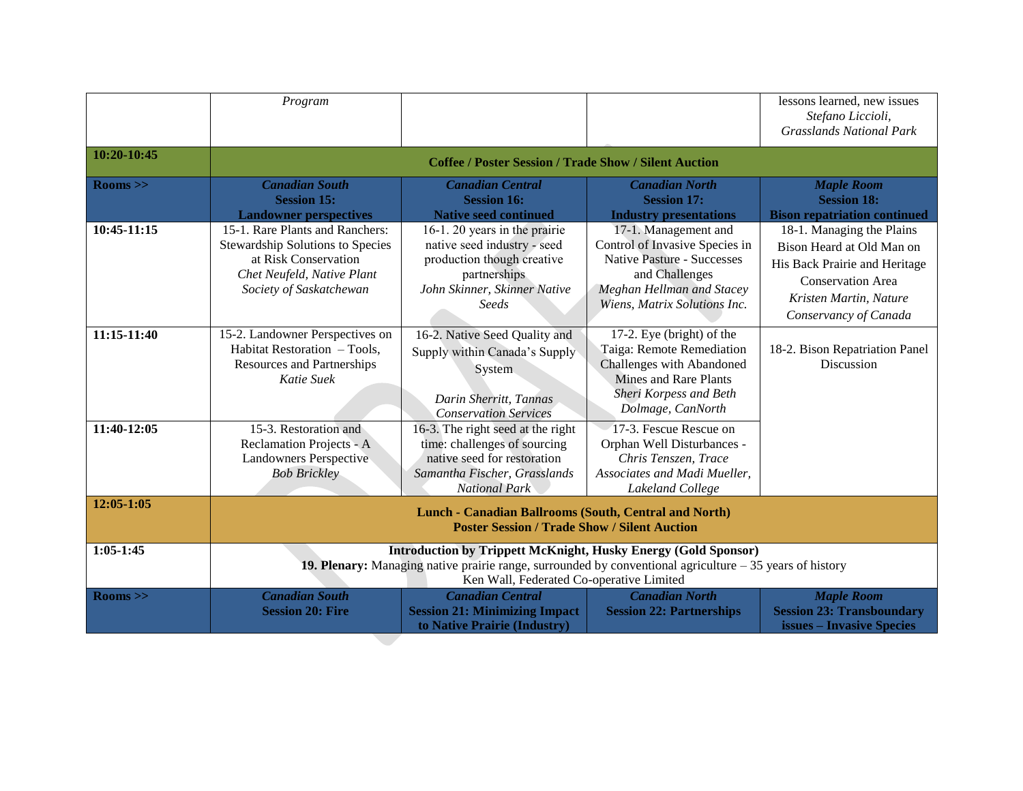|               | Program                                                                                                                                                                                                                               |                                                                                                                                                          |                                                                                                                                                                            | lessons learned, new issues<br>Stefano Liccioli,<br><b>Grasslands National Park</b>                                                                                    |
|---------------|---------------------------------------------------------------------------------------------------------------------------------------------------------------------------------------------------------------------------------------|----------------------------------------------------------------------------------------------------------------------------------------------------------|----------------------------------------------------------------------------------------------------------------------------------------------------------------------------|------------------------------------------------------------------------------------------------------------------------------------------------------------------------|
| 10:20-10:45   | <b>Coffee / Poster Session / Trade Show / Silent Auction</b>                                                                                                                                                                          |                                                                                                                                                          |                                                                                                                                                                            |                                                                                                                                                                        |
| $\rm Rooms >$ | <b>Canadian South</b><br><b>Session 15:</b><br><b>Landowner perspectives</b>                                                                                                                                                          | <b>Canadian Central</b><br><b>Session 16:</b><br><b>Native seed continued</b>                                                                            | <b>Canadian North</b><br><b>Session 17:</b><br><b>Industry presentations</b>                                                                                               | <b>Maple Room</b><br><b>Session 18:</b><br><b>Bison repatriation continued</b>                                                                                         |
| 10:45-11:15   | 15-1. Rare Plants and Ranchers:<br>Stewardship Solutions to Species<br>at Risk Conservation<br>Chet Neufeld, Native Plant<br>Society of Saskatchewan                                                                                  | 16-1. 20 years in the prairie<br>native seed industry - seed<br>production though creative<br>partnerships<br>John Skinner, Skinner Native<br>Seeds      | 17-1. Management and<br>Control of Invasive Species in<br><b>Native Pasture - Successes</b><br>and Challenges<br>Meghan Hellman and Stacey<br>Wiens, Matrix Solutions Inc. | 18-1. Managing the Plains<br>Bison Heard at Old Man on<br>His Back Prairie and Heritage<br><b>Conservation Area</b><br>Kristen Martin, Nature<br>Conservancy of Canada |
| 11:15-11:40   | 15-2. Landowner Perspectives on<br>Habitat Restoration - Tools,<br><b>Resources and Partnerships</b><br>Katie Suek                                                                                                                    | 16-2. Native Seed Quality and<br>Supply within Canada's Supply<br>System<br>Darin Sherritt, Tannas<br><b>Conservation Services</b>                       | 17-2. Eye (bright) of the<br>Taiga: Remote Remediation<br>Challenges with Abandoned<br><b>Mines and Rare Plants</b><br>Sheri Korpess and Beth<br>Dolmage, CanNorth         | 18-2. Bison Repatriation Panel<br>Discussion                                                                                                                           |
| 11:40-12:05   | 15-3. Restoration and<br>Reclamation Projects - A<br><b>Landowners Perspective</b><br><b>Bob Brickley</b>                                                                                                                             | 16-3. The right seed at the right<br>time: challenges of sourcing<br>native seed for restoration<br>Samantha Fischer, Grasslands<br><b>National Park</b> | 17-3. Fescue Rescue on<br>Orphan Well Disturbances -<br>Chris Tenszen, Trace<br>Associates and Madi Mueller,<br>Lakeland College                                           |                                                                                                                                                                        |
| $12:05-1:05$  | <b>Lunch - Canadian Ballrooms (South, Central and North)</b><br><b>Poster Session / Trade Show / Silent Auction</b>                                                                                                                   |                                                                                                                                                          |                                                                                                                                                                            |                                                                                                                                                                        |
| $1:05-1:45$   | <b>Introduction by Trippett McKnight, Husky Energy (Gold Sponsor)</b><br><b>19. Plenary:</b> Managing native prairie range, surrounded by conventional agriculture $-35$ years of history<br>Ken Wall, Federated Co-operative Limited |                                                                                                                                                          |                                                                                                                                                                            |                                                                                                                                                                        |
| $\rm Rooms >$ | <b>Canadian South</b><br><b>Session 20: Fire</b>                                                                                                                                                                                      | <b>Canadian Central</b><br><b>Session 21: Minimizing Impact</b><br>to Native Prairie (Industry)                                                          | <b>Canadian North</b><br><b>Session 22: Partnerships</b>                                                                                                                   | <b>Maple Room</b><br><b>Session 23: Transboundary</b><br><b>issues – Invasive Species</b>                                                                              |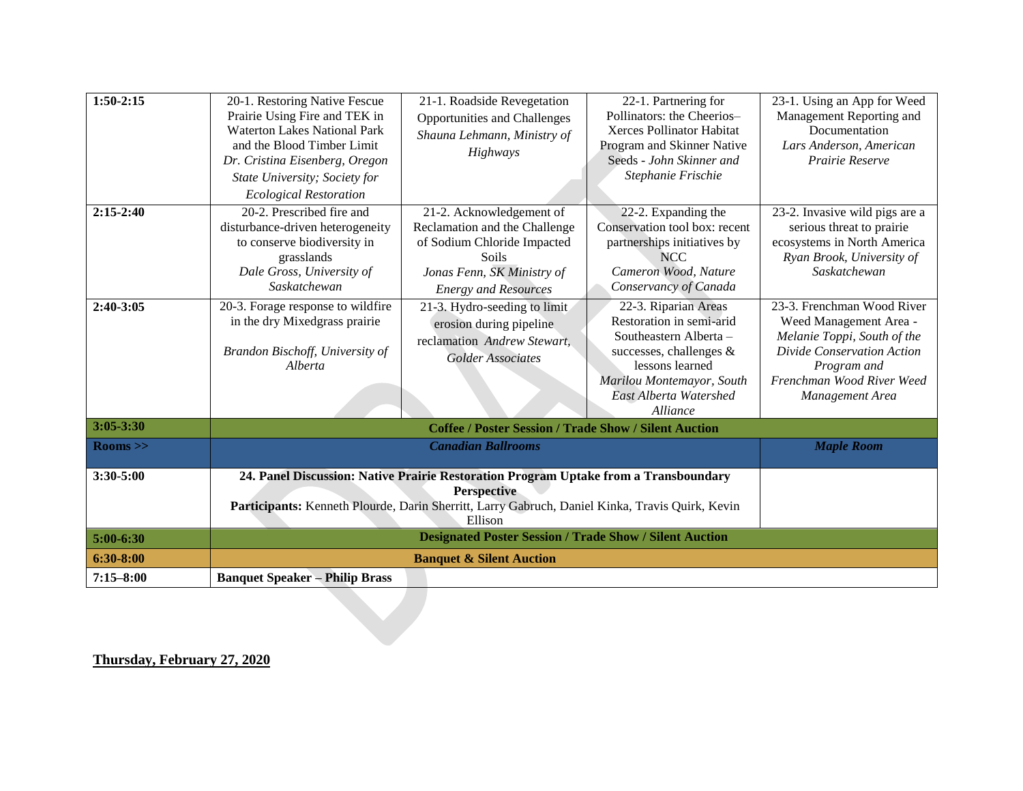| $1:50-2:15$         | 20-1. Restoring Native Fescue              | 21-1. Roadside Revegetation                                                                                | 22-1. Partnering for                       | 23-1. Using an App for Weed               |
|---------------------|--------------------------------------------|------------------------------------------------------------------------------------------------------------|--------------------------------------------|-------------------------------------------|
|                     | Prairie Using Fire and TEK in              | <b>Opportunities and Challenges</b>                                                                        | Pollinators: the Cheerios-                 | Management Reporting and                  |
|                     | <b>Waterton Lakes National Park</b>        | Shauna Lehmann, Ministry of                                                                                | Xerces Pollinator Habitat                  | Documentation                             |
|                     | and the Blood Timber Limit                 | Highways                                                                                                   | Program and Skinner Native                 | Lars Anderson, American                   |
|                     | Dr. Cristina Eisenberg, Oregon             |                                                                                                            | Seeds - John Skinner and                   | Prairie Reserve                           |
|                     | State University; Society for              |                                                                                                            | Stephanie Frischie                         |                                           |
|                     | <b>Ecological Restoration</b>              |                                                                                                            |                                            |                                           |
| $2:15-2:40$         | 20-2. Prescribed fire and                  | 21-2. Acknowledgement of                                                                                   | 22-2. Expanding the                        | 23-2. Invasive wild pigs are a            |
|                     | disturbance-driven heterogeneity           | Reclamation and the Challenge                                                                              | Conservation tool box: recent              | serious threat to prairie                 |
|                     | to conserve biodiversity in                | of Sodium Chloride Impacted                                                                                | partnerships initiatives by                | ecosystems in North America               |
|                     | grasslands                                 | <b>Soils</b>                                                                                               | NCC                                        | Ryan Brook, University of                 |
|                     | Dale Gross, University of                  | Jonas Fenn, SK Ministry of                                                                                 | Cameron Wood, Nature                       | Saskatchewan                              |
|                     | Saskatchewan                               | <b>Energy and Resources</b>                                                                                | Conservancy of Canada                      |                                           |
| 2:40-3:05           | 20-3. Forage response to wildfire          | 21-3. Hydro-seeding to limit                                                                               | 22-3. Riparian Areas                       | 23-3. Frenchman Wood River                |
|                     | in the dry Mixedgrass prairie              | erosion during pipeline                                                                                    | Restoration in semi-arid                   | Weed Management Area -                    |
|                     |                                            | reclamation Andrew Stewart,                                                                                | Southeastern Alberta-                      | Melanie Toppi, South of the               |
|                     | Brandon Bischoff, University of<br>Alberta | Golder Associates                                                                                          | successes, challenges &<br>lessons learned | Divide Conservation Action<br>Program and |
|                     |                                            |                                                                                                            | Marilou Montemayor, South                  | Frenchman Wood River Weed                 |
|                     |                                            |                                                                                                            | East Alberta Watershed                     | Management Area                           |
|                     |                                            |                                                                                                            | <i>Alliance</i>                            |                                           |
| $3:05 - 3:30$       |                                            | <b>Coffee / Poster Session / Trade Show / Silent Auction</b>                                               |                                            |                                           |
| $\mathrm{Rooms}$ >> |                                            | <b>Canadian Ballrooms</b>                                                                                  |                                            | <b>Maple Room</b>                         |
| $3:30-5:00$         |                                            |                                                                                                            |                                            |                                           |
|                     |                                            | 24. Panel Discussion: Native Prairie Restoration Program Uptake from a Transboundary<br><b>Perspective</b> |                                            |                                           |
|                     |                                            | Participants: Kenneth Plourde, Darin Sherritt, Larry Gabruch, Daniel Kinka, Travis Quirk, Kevin            |                                            |                                           |
|                     |                                            | Ellison                                                                                                    |                                            |                                           |
| $5:00-6:30$         |                                            | <b>Designated Poster Session / Trade Show / Silent Auction</b>                                             |                                            |                                           |
| $6:30-8:00$         |                                            | <b>Banquet &amp; Silent Auction</b>                                                                        |                                            |                                           |
| $7:15 - 8:00$       | <b>Banquet Speaker - Philip Brass</b>      |                                                                                                            |                                            |                                           |
|                     |                                            |                                                                                                            |                                            |                                           |
|                     |                                            |                                                                                                            |                                            |                                           |
|                     |                                            |                                                                                                            |                                            |                                           |
|                     |                                            |                                                                                                            |                                            |                                           |

**Thursday, February 27, 2020**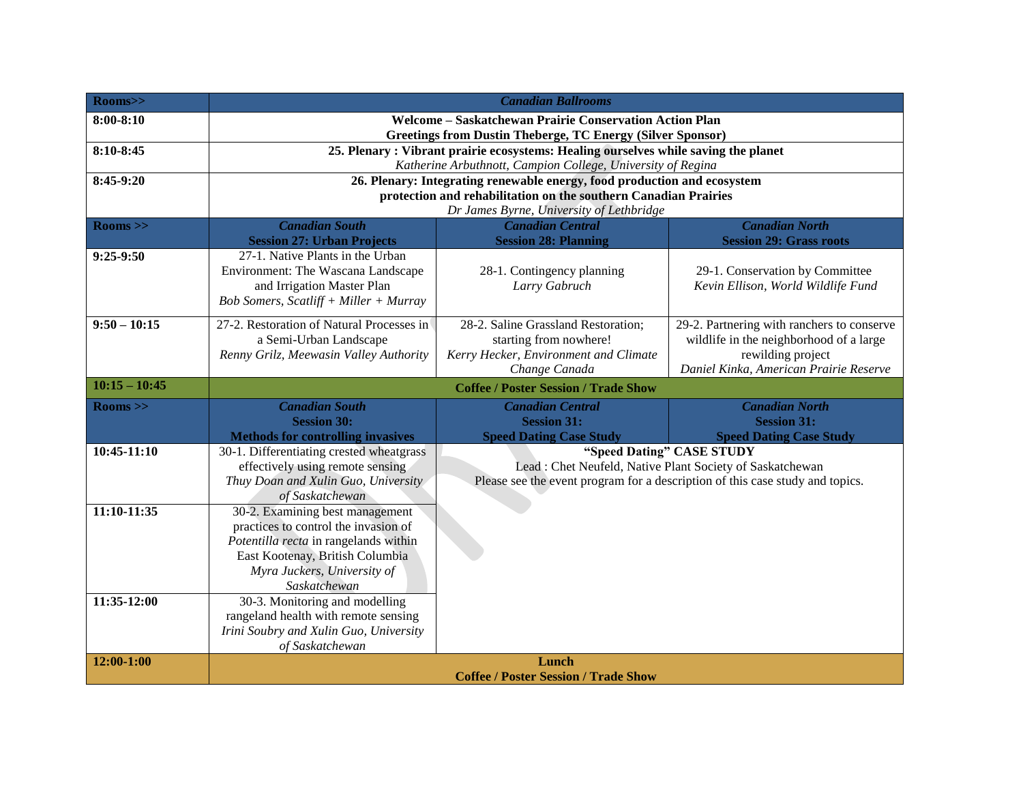| Rooms>>         | <b>Canadian Ballrooms</b>                                                                                                                         |                                                                                        |                                                              |  |
|-----------------|---------------------------------------------------------------------------------------------------------------------------------------------------|----------------------------------------------------------------------------------------|--------------------------------------------------------------|--|
| $8:00 - 8:10$   | Welcome - Saskatchewan Prairie Conservation Action Plan                                                                                           |                                                                                        |                                                              |  |
| 8:10-8:45       | <b>Greetings from Dustin Theberge, TC Energy (Silver Sponsor)</b>                                                                                 |                                                                                        |                                                              |  |
|                 | 25. Plenary: Vibrant prairie ecosystems: Healing ourselves while saving the planet<br>Katherine Arbuthnott, Campion College, University of Regina |                                                                                        |                                                              |  |
| 8:45-9:20       | 26. Plenary: Integrating renewable energy, food production and ecosystem                                                                          |                                                                                        |                                                              |  |
|                 | protection and rehabilitation on the southern Canadian Prairies                                                                                   |                                                                                        |                                                              |  |
|                 |                                                                                                                                                   | Dr James Byrne, University of Lethbridge                                               |                                                              |  |
| $\rm Rooms >$   | <b>Canadian South</b><br><b>Session 27: Urban Projects</b>                                                                                        | <b>Canadian Central</b><br><b>Session 28: Planning</b>                                 | <b>Canadian North</b><br><b>Session 29: Grass roots</b>      |  |
| 9:25-9:50       | 27-1. Native Plants in the Urban                                                                                                                  |                                                                                        |                                                              |  |
|                 | Environment: The Wascana Landscape                                                                                                                | 28-1. Contingency planning                                                             | 29-1. Conservation by Committee                              |  |
|                 | and Irrigation Master Plan<br><b>Bob Somers, Scatliff + Miller + Murray</b>                                                                       | Larry Gabruch                                                                          | Kevin Ellison, World Wildlife Fund                           |  |
|                 |                                                                                                                                                   |                                                                                        |                                                              |  |
| $9:50 - 10:15$  | 27-2. Restoration of Natural Processes in                                                                                                         | 28-2. Saline Grassland Restoration;                                                    | 29-2. Partnering with ranchers to conserve                   |  |
|                 | a Semi-Urban Landscape<br>Renny Grilz, Meewasin Valley Authority                                                                                  | starting from nowhere!<br>Kerry Hecker, Environment and Climate                        | wildlife in the neighborhood of a large<br>rewilding project |  |
|                 |                                                                                                                                                   | Change Canada                                                                          | Daniel Kinka, American Prairie Reserve                       |  |
| $10:15 - 10:45$ | <b>Coffee / Poster Session / Trade Show</b>                                                                                                       |                                                                                        |                                                              |  |
| $\rm Rooms >$   | <b>Canadian South</b>                                                                                                                             | <b>Canadian Central</b>                                                                | <b>Canadian North</b>                                        |  |
|                 | <b>Session 30:</b>                                                                                                                                | <b>Session 31:</b>                                                                     | <b>Session 31:</b>                                           |  |
|                 | <b>Methods for controlling invasives</b>                                                                                                          | <b>Speed Dating Case Study</b>                                                         | <b>Speed Dating Case Study</b>                               |  |
| 10:45-11:10     | 30-1. Differentiating crested wheatgrass<br>effectively using remote sensing                                                                      | "Speed Dating" CASE STUDY<br>Lead : Chet Neufeld, Native Plant Society of Saskatchewan |                                                              |  |
|                 | Thuy Doan and Xulin Guo, University                                                                                                               | Please see the event program for a description of this case study and topics.          |                                                              |  |
|                 | of Saskatchewan                                                                                                                                   |                                                                                        |                                                              |  |
| 11:10-11:35     | 30-2. Examining best management                                                                                                                   |                                                                                        |                                                              |  |
|                 | practices to control the invasion of                                                                                                              |                                                                                        |                                                              |  |
|                 | Potentilla recta in rangelands within<br>East Kootenay, British Columbia                                                                          |                                                                                        |                                                              |  |
|                 | Myra Juckers, University of                                                                                                                       |                                                                                        |                                                              |  |
|                 | Saskatchewan                                                                                                                                      |                                                                                        |                                                              |  |
| 11:35-12:00     | 30-3. Monitoring and modelling                                                                                                                    |                                                                                        |                                                              |  |
|                 | rangeland health with remote sensing                                                                                                              |                                                                                        |                                                              |  |
|                 | Irini Soubry and Xulin Guo, University<br>of Saskatchewan                                                                                         |                                                                                        |                                                              |  |
| 12:00-1:00      | Lunch                                                                                                                                             |                                                                                        |                                                              |  |
|                 | <b>Coffee / Poster Session / Trade Show</b>                                                                                                       |                                                                                        |                                                              |  |